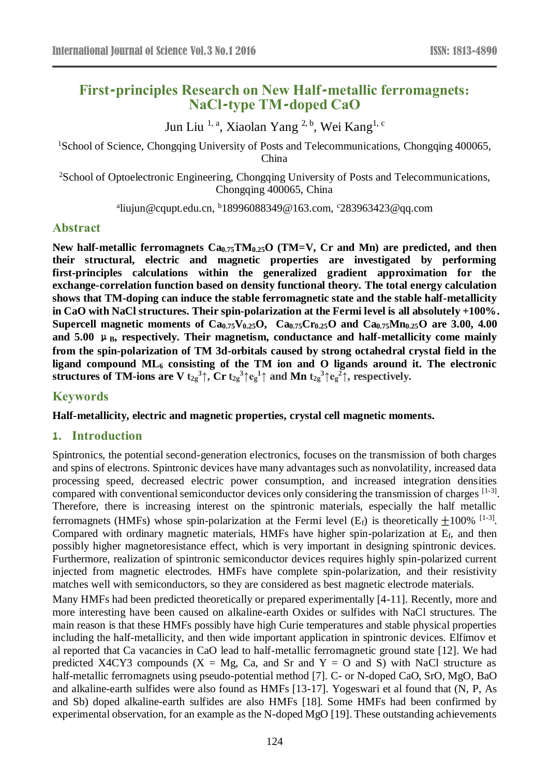# **First-principles Research on New Half-metallic ferromagnets: NaCl-type TM-doped CaO**

Jun Liu <sup>1, a</sup>, Xiaolan Yang <sup>2, b</sup>, Wei Kang<sup>1, c</sup>

<sup>1</sup>School of Science, Chongqing University of Posts and Telecommunications, Chongqing 400065, China

<sup>2</sup>School of Optoelectronic Engineering, Chongqing University of Posts and Telecommunications, Chongqing 400065, China

<sup>a</sup>liujun@cqupt.edu.cn, <sup>b</sup>18996088349@163.com, <sup>c</sup>283963423@qq.com

#### **Abstract**

**New half-metallic ferromagnets Ca0.75TM0.25O (TM=V, Cr and Mn) are predicted, and then their structural, electric and magnetic properties are investigated by performing first-principles calculations within the generalized gradient approximation for the exchange-correlation function based on density functional theory. The total energy calculation shows that TM-doping can induce the stable ferromagnetic state and the stable half-metallicity in CaO with NaCl structures. Their spin-polarization at the Fermi level is all absolutely +100%. Supercell magnetic moments of Ca0.75V0.25O, Ca0.75Cr0.25O and Ca0.75Mn0.25O are 3.00, 4.00**  and  $5.00 \mu$ <sub>B</sub>, respectively. Their magnetism, conductance and half-metallicity come mainly **from the spin-polarization of TM 3d-orbitals caused by strong octahedral crystal field in the ligand compound ML<sup>6</sup> consisting of the TM ion and O ligands around it. The electronic**   $\bf{s}$  **structures of TM-ions are**  $\bf{V}$  $\bf{t}_{2g}^3 \uparrow$ **,**  $\bf{C}$ **r**  $\bf{t}_{2g}^3 \uparrow \bf{e}_g^1 \uparrow$  **and**  $\bf{Mn}$  $\bf{t}_{2g}^3 \uparrow \bf{e}_g^2 \uparrow$ **, respectively.** 

### **Keywords**

**Half-metallicity, electric and magnetic properties, crystal cell magnetic moments.**

#### **1. Introduction**

Spintronics, the potential second-generation electronics, focuses on the transmission of both charges and spins of electrons. Spintronic devices have many advantages such as nonvolatility, increased data processing speed, decreased electric power consumption, and increased integration densities compared with conventional semiconductor devices only considering the transmission of charges [1-3]. Therefore, there is increasing interest on the spintronic materials, especially the half metallic ferromagnets (HMFs) whose spin-polarization at the Fermi level (E<sub>f</sub>) is theoretically  $\pm 100\%$  <sup>[1-3]</sup>. Compared with ordinary magnetic materials, HMFs have higher spin-polarization at Ef, and then possibly higher magnetoresistance effect, which is very important in designing spintronic devices. Furthermore, realization of spintronic semiconductor devices requires highly spin-polarized current injected from magnetic electrodes. HMFs have complete spin-polarization, and their resistivity matches well with semiconductors, so they are considered as best magnetic electrode materials.

Many HMFs had been predicted theoretically or prepared experimentally [4-11]. Recently, more and more interesting have been caused on alkaline-earth Oxides or sulfides with NaCl structures. The main reason is that these HMFs possibly have high Curie temperatures and stable physical properties including the half-metallicity, and then wide important application in spintronic devices. Elfimov et al reported that Ca vacancies in CaO lead to half-metallic ferromagnetic ground state [12]. We had predicted X4CY3 compounds  $(X = Mg, Ca, and Sr and Y = O and S)$  with NaCl structure as half-metallic ferromagnets using pseudo-potential method [7]. C- or N-doped CaO, SrO, MgO, BaO and alkaline-earth sulfides were also found as HMFs [13-17]. Yogeswari et al found that (N, P, As and Sb) doped alkaline-earth sulfides are also HMFs [18]. Some HMFs had been confirmed by experimental observation, for an example as the N-doped MgO [19]. These outstanding achievements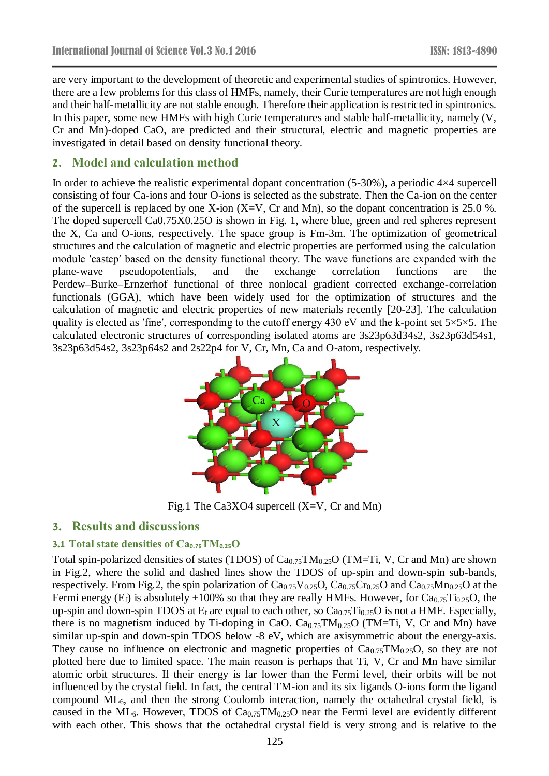are very important to the development of theoretic and experimental studies of spintronics. However, there are a few problems for this class of HMFs, namely, their Curie temperatures are not high enough and their half-metallicity are not stable enough. Therefore their application is restricted in spintronics. In this paper, some new HMFs with high Curie temperatures and stable half-metallicity, namely (V, Cr and Mn)-doped CaO, are predicted and their structural, electric and magnetic properties are investigated in detail based on density functional theory.

# **2. Model and calculation method**

In order to achieve the realistic experimental dopant concentration (5-30%), a periodic 4×4 supercell consisting of four Ca-ions and four O-ions is selected as the substrate. Then the Ca-ion on the center of the supercell is replaced by one X-ion  $(X=V, Cr, and Mn)$ , so the dopant concentration is 25.0 %. The doped supercell Ca0.75X0.25O is shown in Fig. 1, where blue, green and red spheres represent the X, Ca and O-ions, respectively. The space group is Fm-3m. The optimization of geometrical structures and the calculation of magnetic and electric properties are performed using the calculation module ′castep′ based on the density functional theory. The wave functions are expanded with the plane-wave pseudopotentials, and the exchange correlation functions are the Perdew–Burke–Ernzerhof functional of three nonlocal gradient corrected exchange-correlation functionals (GGA), which have been widely used for the optimization of structures and the calculation of magnetic and electric properties of new materials recently [20-23]. The calculation quality is elected as 'fine', corresponding to the cutoff energy 430 eV and the k-point set  $5 \times 5 \times 5$ . The calculated electronic structures of corresponding isolated atoms are 3s23p63d34s2, 3s23p63d54s1, 3s23p63d54s2, 3s23p64s2 and 2s22p4 for V, Cr, Mn, Ca and O-atom, respectively.



Fig.1 The Ca3XO4 supercell (X=V, Cr and Mn)

### **3. Results and discussions**

#### **3.1 Total state densities of Ca0.75TM0.25O**

Total spin-polarized densities of states (TDOS) of  $Ca_{0.75}TM_{0.25}O$  (TM=Ti, V, Cr and Mn) are shown in Fig.2, where the solid and dashed lines show the TDOS of up-spin and down-spin sub-bands, respectively. From Fig.2, the spin polarization of  $Ca_{0.75}V_{0.25}O$ ,  $Ca_{0.75}Cr_{0.25}O$  and  $Ca_{0.75}Mn_{0.25}O$  at the Fermi energy  $(E_f)$  is absolutely +100% so that they are really HMFs. However, for  $Ca<sub>0.75</sub>Ti<sub>0.25</sub>O$ , the up-spin and down-spin TDOS at  $E_f$  are equal to each other, so  $Ca_{0.75}Ti_{0.25}O$  is not a HMF. Especially, there is no magnetism induced by Ti-doping in CaO.  $Ca<sub>0.75</sub>TM<sub>0.25</sub>O$  (TM=Ti, V, Cr and Mn) have similar up-spin and down-spin TDOS below -8 eV, which are axisymmetric about the energy-axis. They cause no influence on electronic and magnetic properties of  $Ca<sub>0.75</sub>TM<sub>0.25</sub>O$ , so they are not plotted here due to limited space. The main reason is perhaps that Ti, V, Cr and Mn have similar atomic orbit structures. If their energy is far lower than the Fermi level, their orbits will be not influenced by the crystal field. In fact, the central TM-ion and its six ligands O-ions form the ligand compound ML6, and then the strong Coulomb interaction, namely the octahedral crystal field, is caused in the ML<sub>6</sub>. However, TDOS of  $Ca<sub>0.75</sub>TM<sub>0.25</sub>O$  near the Fermi level are evidently different with each other. This shows that the octahedral crystal field is very strong and is relative to the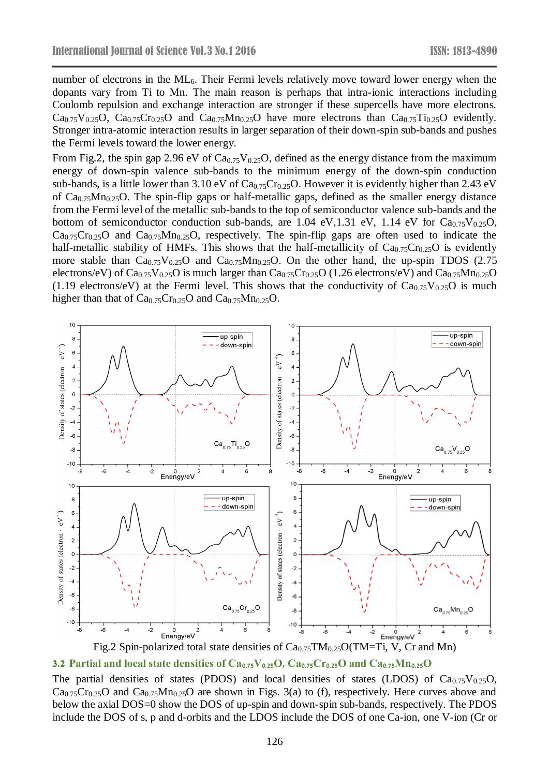number of electrons in the ML<sub>6</sub>. Their Fermi levels relatively move toward lower energy when the dopants vary from Ti to Mn. The main reason is perhaps that intra-ionic interactions including Coulomb repulsion and exchange interaction are stronger if these supercells have more electrons.  $Ca_{0.75}V_{0.25}O$ ,  $Ca_{0.75}Cr_{0.25}O$  and  $Ca_{0.75}Mn_{0.25}O$  have more electrons than  $Ca_{0.75}Ti_{0.25}O$  evidently. Stronger intra-atomic interaction results in larger separation of their down-spin sub-bands and pushes the Fermi levels toward the lower energy.

From Fig.2, the spin gap 2.96 eV of  $Ca<sub>0.75</sub>V<sub>0.25</sub>O$ , defined as the energy distance from the maximum energy of down-spin valence sub-bands to the minimum energy of the down-spin conduction sub-bands, is a little lower than 3.10 eV of  $Ca_{0.75}Cr_{0.25}O$ . However it is evidently higher than 2.43 eV of  $Ca_{0.75}Mn_{0.25}O$ . The spin-flip gaps or half-metallic gaps, defined as the smaller energy distance from the Fermi level of the metallic sub-bands to the top of semiconductor valence sub-bands and the bottom of semiconductor conduction sub-bands, are 1.04 eV, 1.31 eV, 1.14 eV for  $Ca_{0.75}V_{0.25}O$ ,  $Ca_{0.75}Cr_{0.25}O$  and  $Ca_{0.75}Mn_{0.25}O$ , respectively. The spin-flip gaps are often used to indicate the half-metallic stability of HMFs. This shows that the half-metallicity of  $Ca_{0.75}Cr_{0.25}O$  is evidently more stable than  $Ca_{0.75}V_{0.25}O$  and  $Ca_{0.75}M_{0.25}O$ . On the other hand, the up-spin TDOS (2.75) electrons/eV) of  $Ca_{0.75}V_{0.25}O$  is much larger than  $Ca_{0.75}Cr_{0.25}O$  (1.26 electrons/eV) and  $Ca_{0.75}Mn_{0.25}O$ (1.19 electrons/eV) at the Fermi level. This shows that the conductivity of  $Ca_{0.75}V_{0.25}O$  is much higher than that of  $Ca<sub>0.75</sub>Cr<sub>0.25</sub>O$  and  $Ca<sub>0.75</sub>Mn<sub>0.25</sub>O$ .





The partial densities of states (PDOS) and local densities of states (LDOS) of  $Ca_{0.75}V_{0.25}O$ ,  $Ca_{0.75}Cr_{0.25}O$  and  $Ca_{0.75}Mn_{0.25}O$  are shown in Figs. 3(a) to (f), respectively. Here curves above and below the axial DOS=0 show the DOS of up-spin and down-spin sub-bands, respectively. The PDOS include the DOS of s, p and d-orbits and the LDOS include the DOS of one Ca-ion, one V-ion (Cr or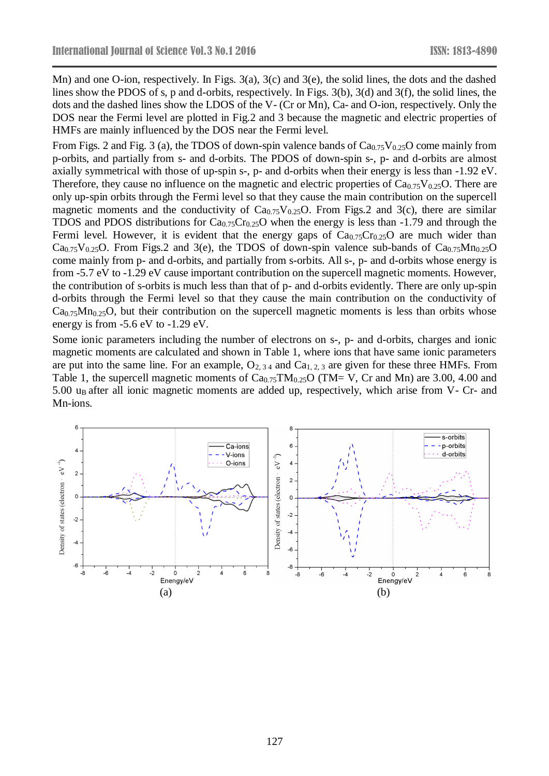Mn) and one O-ion, respectively. In Figs. 3(a), 3(c) and 3(e), the solid lines, the dots and the dashed lines show the PDOS of s, p and d-orbits, respectively. In Figs. 3(b), 3(d) and 3(f), the solid lines, the dots and the dashed lines show the LDOS of the V- (Cr or Mn), Ca- and O-ion, respectively. Only the DOS near the Fermi level are plotted in Fig.2 and 3 because the magnetic and electric properties of HMFs are mainly influenced by the DOS near the Fermi level.

From Figs. 2 and Fig. 3 (a), the TDOS of down-spin valence bands of  $Ca_{0.75}V_{0.25}O$  come mainly from p-orbits, and partially from s- and d-orbits. The PDOS of down-spin s-, p- and d-orbits are almost axially symmetrical with those of up-spin s-, p- and d-orbits when their energy is less than -1.92 eV. Therefore, they cause no influence on the magnetic and electric properties of  $Ca_{0.75}V_{0.25}O$ . There are only up-spin orbits through the Fermi level so that they cause the main contribution on the supercell magnetic moments and the conductivity of  $Ca<sub>0.75</sub>V<sub>0.25</sub>O$ . From Figs.2 and 3(c), there are similar TDOS and PDOS distributions for  $Ca_{0.75}Cr_{0.25}O$  when the energy is less than -1.79 and through the Fermi level. However, it is evident that the energy gaps of  $Ca<sub>0.75</sub>Cr<sub>0.25</sub>O$  are much wider than Ca<sub>0.75</sub>V<sub>0.25</sub>O. From Figs.2 and 3(e), the TDOS of down-spin valence sub-bands of Ca<sub>0.75</sub>Mn<sub>0.25</sub>O come mainly from p- and d-orbits, and partially from s-orbits. All s-, p- and d-orbits whose energy is from -5.7 eV to -1.29 eV cause important contribution on the supercell magnetic moments. However, the contribution of s-orbits is much less than that of p- and d-orbits evidently. There are only up-spin d-orbits through the Fermi level so that they cause the main contribution on the conductivity of  $Ca<sub>0.75</sub>Mn<sub>0.25</sub>O$ , but their contribution on the supercell magnetic moments is less than orbits whose energy is from -5.6 eV to -1.29 eV.

Some ionic parameters including the number of electrons on s-, p- and d-orbits, charges and ionic magnetic moments are calculated and shown in Table 1, where ions that have same ionic parameters are put into the same line. For an example,  $O_{2,34}$  and  $Ca_{1,2,3}$  are given for these three HMFs. From Table 1, the supercell magnetic moments of  $Ca_{0.75}TM_{0.25}O$  (TM= V, Cr and Mn) are 3.00, 4.00 and 5.00 u<sub>B</sub> after all ionic magnetic moments are added up, respectively, which arise from V- Cr- and Mn-ions.

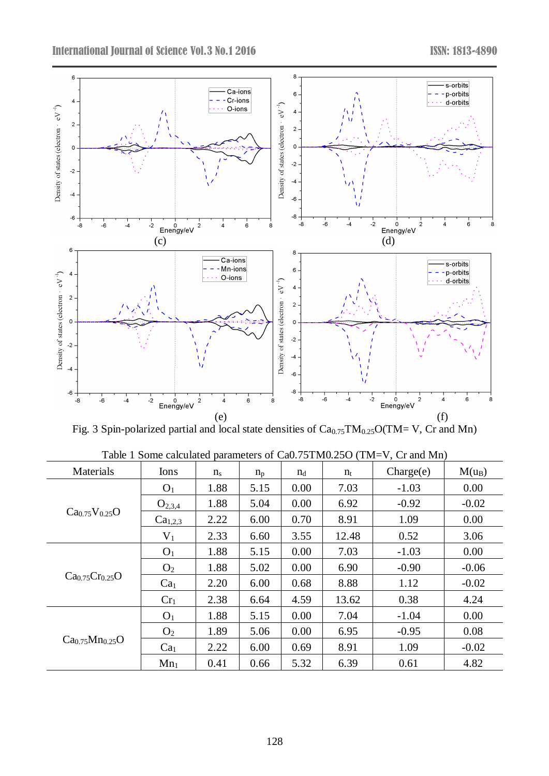

Fig. 3 Spin-polarized partial and local state densities of  $Ca<sub>0.75</sub>TM<sub>0.25</sub>O(TM= V, Cr and Mn)$ 

| Materials                               | Ions                | $n_{\rm s}$ | $n_{p}$ | $n_d$ | $n_{t}$ | Change(e) | $M(u_B)$ |
|-----------------------------------------|---------------------|-------------|---------|-------|---------|-----------|----------|
| $Ca_{0.75}V_{0.25}O$                    | O <sub>1</sub>      | 1.88        | 5.15    | 0.00  | 7.03    | $-1.03$   | 0.00     |
|                                         | $O_{2,3,4}$         | 1.88        | 5.04    | 0.00  | 6.92    | $-0.92$   | $-0.02$  |
|                                         | Ca <sub>1,2,3</sub> | 2.22        | 6.00    | 0.70  | 8.91    | 1.09      | 0.00     |
|                                         | $V_1$               | 2.33        | 6.60    | 3.55  | 12.48   | 0.52      | 3.06     |
| $Ca_{0.75}Cr_{0.25}O$                   | O <sub>1</sub>      | 1.88        | 5.15    | 0.00  | 7.03    | $-1.03$   | 0.00     |
|                                         | O <sub>2</sub>      | 1.88        | 5.02    | 0.00  | 6.90    | $-0.90$   | $-0.06$  |
|                                         | Ca <sub>1</sub>     | 2.20        | 6.00    | 0.68  | 8.88    | 1.12      | $-0.02$  |
|                                         | Cr <sub>1</sub>     | 2.38        | 6.64    | 4.59  | 13.62   | 0.38      | 4.24     |
| Ca <sub>0.75</sub> Mn <sub>0.25</sub> O | O <sub>1</sub>      | 1.88        | 5.15    | 0.00  | 7.04    | $-1.04$   | 0.00     |
|                                         | O <sub>2</sub>      | 1.89        | 5.06    | 0.00  | 6.95    | $-0.95$   | 0.08     |
|                                         | Ca <sub>1</sub>     | 2.22        | 6.00    | 0.69  | 8.91    | 1.09      | $-0.02$  |
|                                         | $Mn_1$              | 0.41        | 0.66    | 5.32  | 6.39    | 0.61      | 4.82     |

Table 1 Some calculated parameters of Ca0.75TM0.25O (TM=V, Cr and Mn)